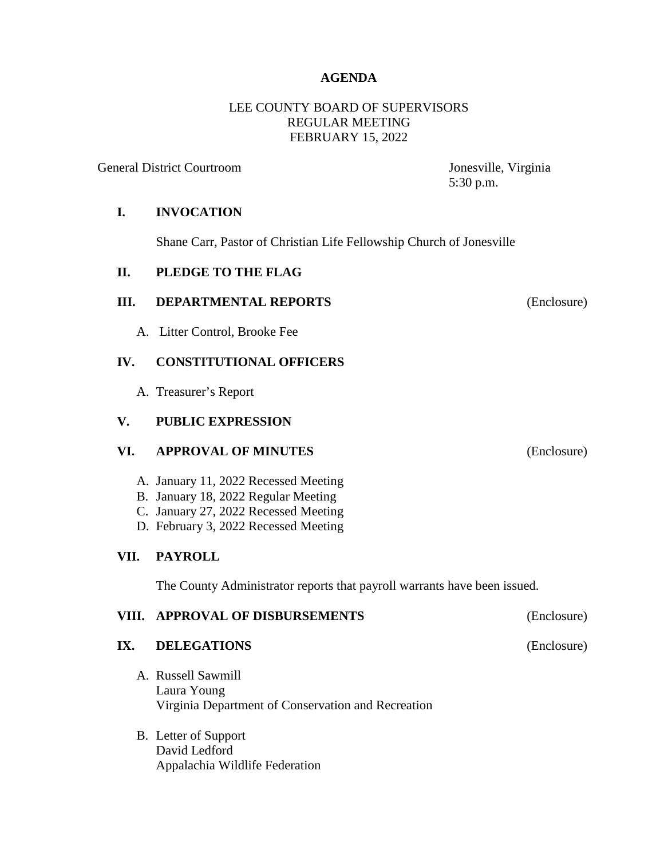## **AGENDA**

## LEE COUNTY BOARD OF SUPERVISORS REGULAR MEETING FEBRUARY 15, 2022

General District Courtroom Jonesville, Virginia

5:30 p.m.

## **I. INVOCATION**

Shane Carr, Pastor of Christian Life Fellowship Church of Jonesville

#### **II. PLEDGE TO THE FLAG**

## **III. DEPARTMENTAL REPORTS** (Enclosure)

A. Litter Control, Brooke Fee

## **IV. CONSTITUTIONAL OFFICERS**

A. Treasurer's Report

## **V. PUBLIC EXPRESSION**

#### **VI. APPROVAL OF MINUTES** (Enclosure)

- A. January 11, 2022 Recessed Meeting
- B. January 18, 2022 Regular Meeting
- C. January 27, 2022 Recessed Meeting
- D. February 3, 2022 Recessed Meeting

## **VII. PAYROLL**

The County Administrator reports that payroll warrants have been issued.

#### **VIII. APPROVAL OF DISBURSEMENTS** (Enclosure)

# **IX. DELEGATIONS** (Enclosure)

- A. Russell Sawmill Laura Young Virginia Department of Conservation and Recreation
- B. Letter of Support David Ledford Appalachia Wildlife Federation